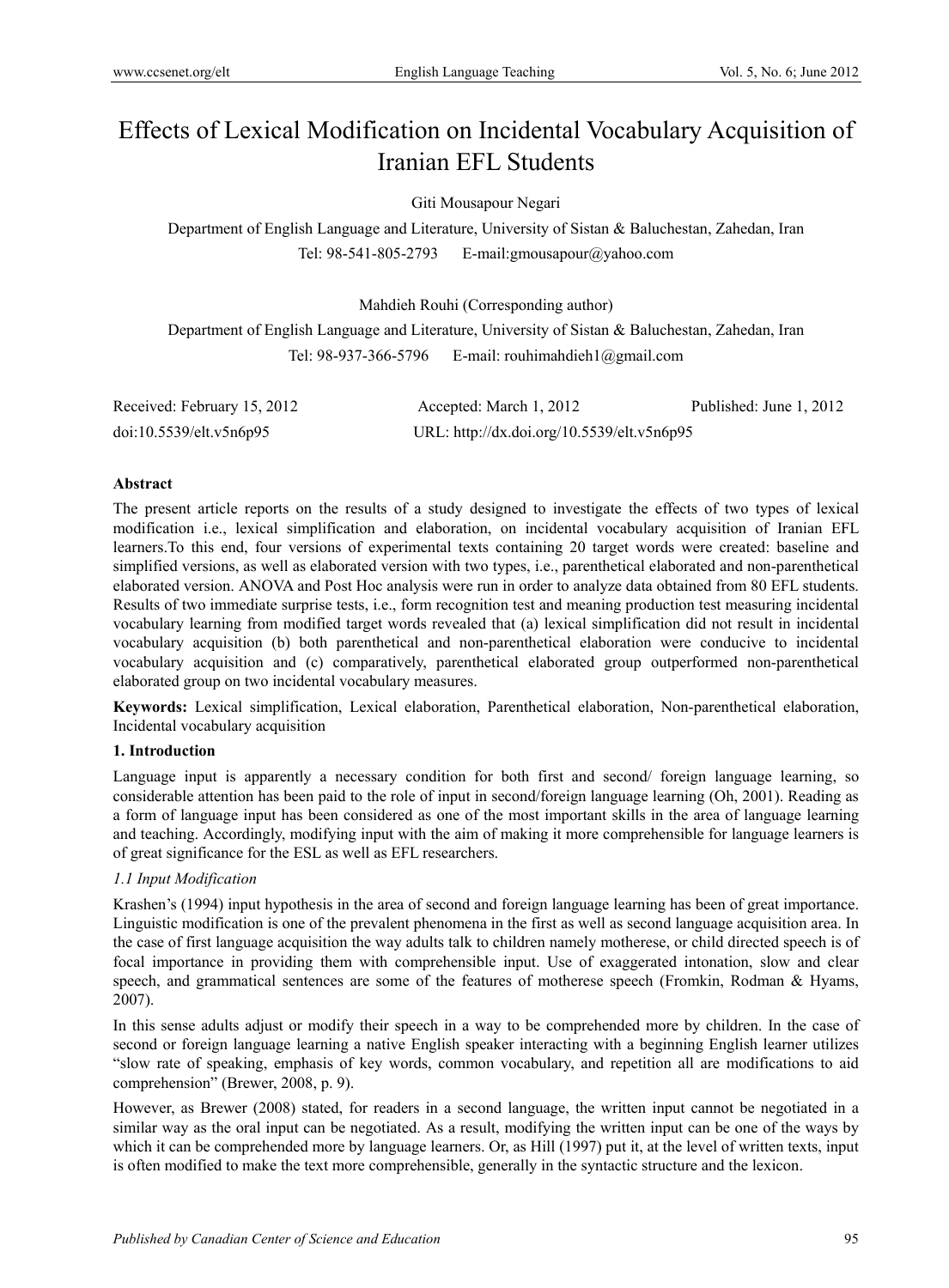# Effects of Lexical Modification on Incidental Vocabulary Acquisition of Iranian EFL Students

# Giti Mousapour Negari

Department of English Language and Literature, University of Sistan & Baluchestan, Zahedan, Iran Tel: 98-541-805-2793 E-mail:gmousapour@yahoo.com

Mahdieh Rouhi (Corresponding author)

Department of English Language and Literature, University of Sistan & Baluchestan, Zahedan, Iran Tel: 98-937-366-5796 E-mail: rouhimahdieh $1$ @gmail.com

| Received: February 15, 2012 | Accepted: March 1, 2012                    | Published: June 1, 2012 |
|-----------------------------|--------------------------------------------|-------------------------|
| doi:10.5539/elt.v5n6p95     | URL: http://dx.doi.org/10.5539/elt.v5n6p95 |                         |

# **Abstract**

The present article reports on the results of a study designed to investigate the effects of two types of lexical modification i.e., lexical simplification and elaboration, on incidental vocabulary acquisition of Iranian EFL learners.To this end, four versions of experimental texts containing 20 target words were created: baseline and simplified versions, as well as elaborated version with two types, i.e., parenthetical elaborated and non-parenthetical elaborated version. ANOVA and Post Hoc analysis were run in order to analyze data obtained from 80 EFL students. Results of two immediate surprise tests, i.e., form recognition test and meaning production test measuring incidental vocabulary learning from modified target words revealed that (a) lexical simplification did not result in incidental vocabulary acquisition (b) both parenthetical and non-parenthetical elaboration were conducive to incidental vocabulary acquisition and (c) comparatively, parenthetical elaborated group outperformed non-parenthetical elaborated group on two incidental vocabulary measures.

**Keywords:** Lexical simplification, Lexical elaboration, Parenthetical elaboration, Non-parenthetical elaboration, Incidental vocabulary acquisition

# **1. Introduction**

Language input is apparently a necessary condition for both first and second/ foreign language learning, so considerable attention has been paid to the role of input in second/foreign language learning (Oh, 2001). Reading as a form of language input has been considered as one of the most important skills in the area of language learning and teaching. Accordingly, modifying input with the aim of making it more comprehensible for language learners is of great significance for the ESL as well as EFL researchers.

# *1.1 Input Modification*

Krashen's (1994) input hypothesis in the area of second and foreign language learning has been of great importance. Linguistic modification is one of the prevalent phenomena in the first as well as second language acquisition area. In the case of first language acquisition the way adults talk to children namely motherese, or child directed speech is of focal importance in providing them with comprehensible input. Use of exaggerated intonation, slow and clear speech, and grammatical sentences are some of the features of motherese speech (Fromkin, Rodman & Hyams, 2007).

In this sense adults adjust or modify their speech in a way to be comprehended more by children. In the case of second or foreign language learning a native English speaker interacting with a beginning English learner utilizes "slow rate of speaking, emphasis of key words, common vocabulary, and repetition all are modifications to aid comprehension" (Brewer, 2008, p. 9).

However, as Brewer (2008) stated, for readers in a second language, the written input cannot be negotiated in a similar way as the oral input can be negotiated. As a result, modifying the written input can be one of the ways by which it can be comprehended more by language learners. Or, as Hill (1997) put it, at the level of written texts, input is often modified to make the text more comprehensible, generally in the syntactic structure and the lexicon.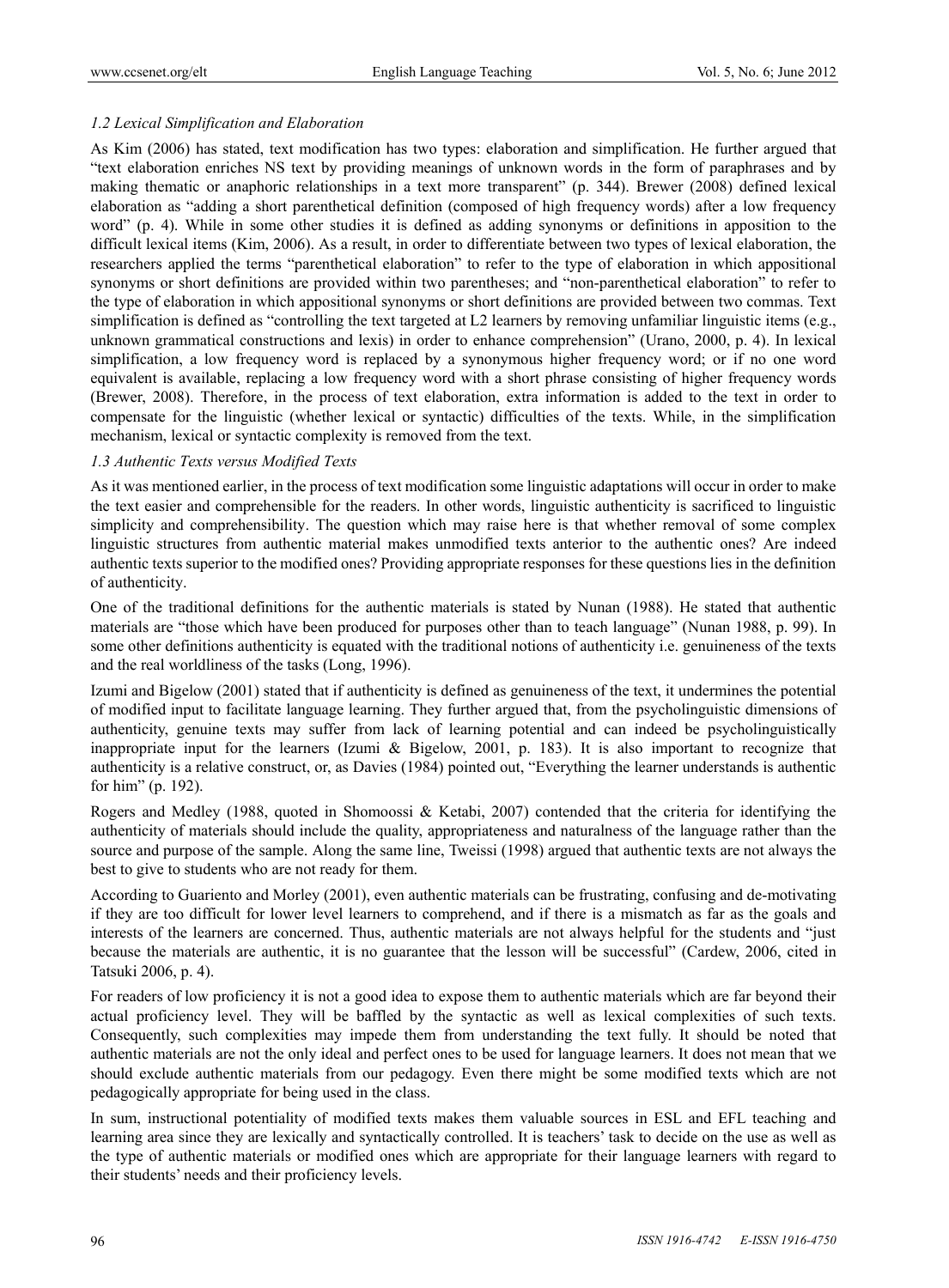# *1.2 Lexical Simplification and Elaboration*

As Kim (2006) has stated, text modification has two types: elaboration and simplification. He further argued that "text elaboration enriches NS text by providing meanings of unknown words in the form of paraphrases and by making thematic or anaphoric relationships in a text more transparent" (p. 344). Brewer (2008) defined lexical elaboration as "adding a short parenthetical definition (composed of high frequency words) after a low frequency word" (p. 4). While in some other studies it is defined as adding synonyms or definitions in apposition to the difficult lexical items (Kim, 2006). As a result, in order to differentiate between two types of lexical elaboration, the researchers applied the terms "parenthetical elaboration" to refer to the type of elaboration in which appositional synonyms or short definitions are provided within two parentheses; and "non-parenthetical elaboration" to refer to the type of elaboration in which appositional synonyms or short definitions are provided between two commas. Text simplification is defined as "controlling the text targeted at L2 learners by removing unfamiliar linguistic items (e.g., unknown grammatical constructions and lexis) in order to enhance comprehension" (Urano, 2000, p. 4). In lexical simplification, a low frequency word is replaced by a synonymous higher frequency word; or if no one word equivalent is available, replacing a low frequency word with a short phrase consisting of higher frequency words (Brewer, 2008). Therefore, in the process of text elaboration, extra information is added to the text in order to compensate for the linguistic (whether lexical or syntactic) difficulties of the texts. While, in the simplification mechanism, lexical or syntactic complexity is removed from the text.

# *1.3 Authentic Texts versus Modified Texts*

As it was mentioned earlier, in the process of text modification some linguistic adaptations will occur in order to make the text easier and comprehensible for the readers. In other words, linguistic authenticity is sacrificed to linguistic simplicity and comprehensibility. The question which may raise here is that whether removal of some complex linguistic structures from authentic material makes unmodified texts anterior to the authentic ones? Are indeed authentic texts superior to the modified ones? Providing appropriate responses for these questions lies in the definition of authenticity.

One of the traditional definitions for the authentic materials is stated by Nunan (1988). He stated that authentic materials are "those which have been produced for purposes other than to teach language" (Nunan 1988, p. 99). In some other definitions authenticity is equated with the traditional notions of authenticity i.e. genuineness of the texts and the real worldliness of the tasks (Long, 1996).

Izumi and Bigelow (2001) stated that if authenticity is defined as genuineness of the text, it undermines the potential of modified input to facilitate language learning. They further argued that, from the psycholinguistic dimensions of authenticity, genuine texts may suffer from lack of learning potential and can indeed be psycholinguistically inappropriate input for the learners (Izumi & Bigelow, 2001, p. 183). It is also important to recognize that authenticity is a relative construct, or, as Davies (1984) pointed out, "Everything the learner understands is authentic for him" (p. 192).

Rogers and Medley (1988, quoted in Shomoossi & Ketabi, 2007) contended that the criteria for identifying the authenticity of materials should include the quality, appropriateness and naturalness of the language rather than the source and purpose of the sample. Along the same line, Tweissi (1998) argued that authentic texts are not always the best to give to students who are not ready for them.

According to Guariento and Morley (2001), even authentic materials can be frustrating, confusing and de-motivating if they are too difficult for lower level learners to comprehend, and if there is a mismatch as far as the goals and interests of the learners are concerned. Thus, authentic materials are not always helpful for the students and "just because the materials are authentic, it is no guarantee that the lesson will be successful" (Cardew, 2006, cited in Tatsuki 2006, p. 4).

For readers of low proficiency it is not a good idea to expose them to authentic materials which are far beyond their actual proficiency level. They will be baffled by the syntactic as well as lexical complexities of such texts. Consequently, such complexities may impede them from understanding the text fully. It should be noted that authentic materials are not the only ideal and perfect ones to be used for language learners. It does not mean that we should exclude authentic materials from our pedagogy. Even there might be some modified texts which are not pedagogically appropriate for being used in the class.

In sum, instructional potentiality of modified texts makes them valuable sources in ESL and EFL teaching and learning area since they are lexically and syntactically controlled. It is teachers' task to decide on the use as well as the type of authentic materials or modified ones which are appropriate for their language learners with regard to their students' needs and their proficiency levels.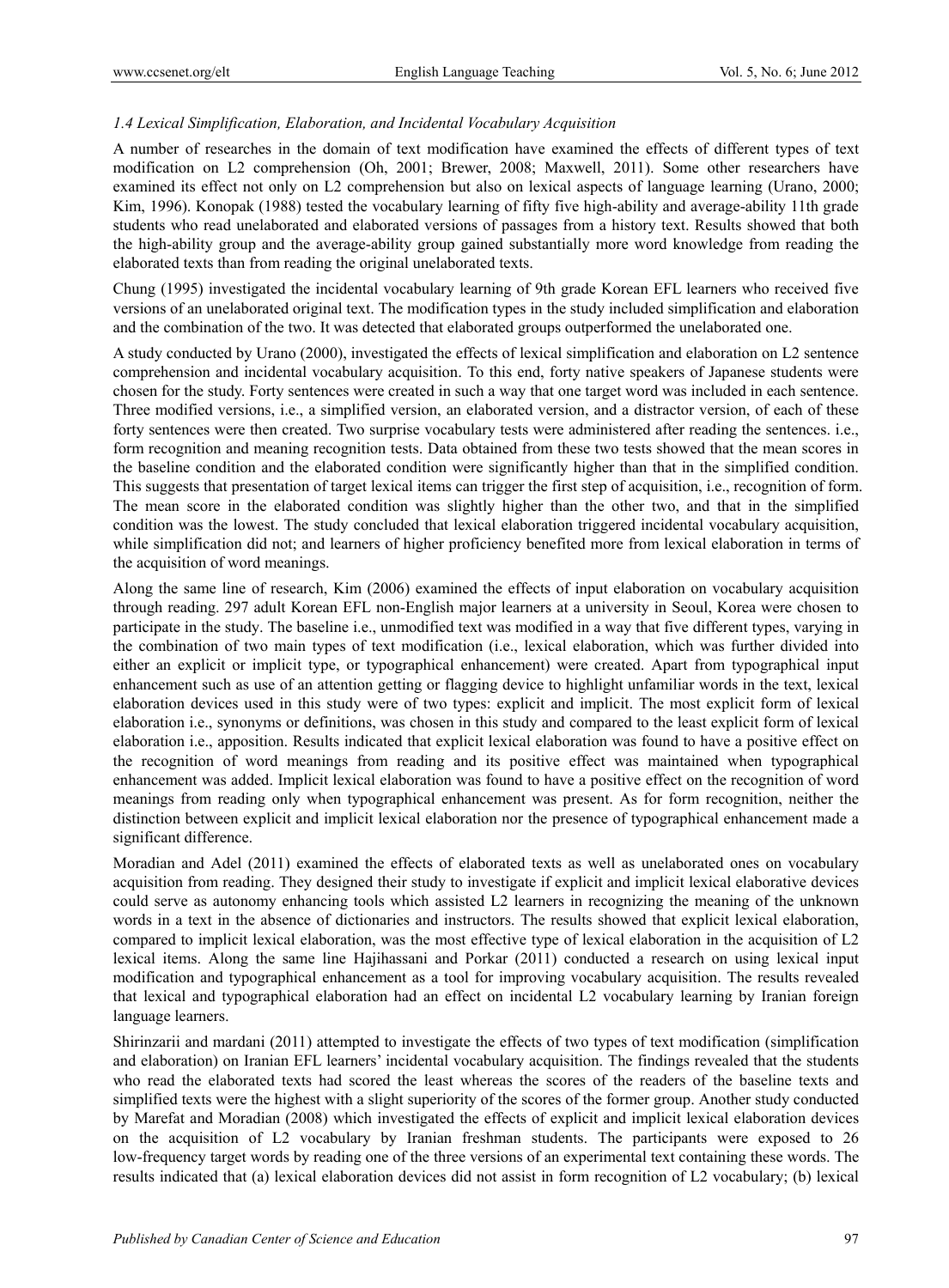# *1.4 Lexical Simplification, Elaboration, and Incidental Vocabulary Acquisition*

A number of researches in the domain of text modification have examined the effects of different types of text modification on L2 comprehension (Oh, 2001; Brewer, 2008; Maxwell, 2011). Some other researchers have examined its effect not only on L2 comprehension but also on lexical aspects of language learning (Urano, 2000; Kim, 1996). Konopak (1988) tested the vocabulary learning of fifty five high-ability and average-ability 11th grade students who read unelaborated and elaborated versions of passages from a history text. Results showed that both the high-ability group and the average-ability group gained substantially more word knowledge from reading the elaborated texts than from reading the original unelaborated texts.

Chung (1995) investigated the incidental vocabulary learning of 9th grade Korean EFL learners who received five versions of an unelaborated original text. The modification types in the study included simplification and elaboration and the combination of the two. It was detected that elaborated groups outperformed the unelaborated one.

A study conducted by Urano (2000), investigated the effects of lexical simplification and elaboration on L2 sentence comprehension and incidental vocabulary acquisition. To this end, forty native speakers of Japanese students were chosen for the study. Forty sentences were created in such a way that one target word was included in each sentence. Three modified versions, i.e., a simplified version, an elaborated version, and a distractor version, of each of these forty sentences were then created. Two surprise vocabulary tests were administered after reading the sentences. i.e., form recognition and meaning recognition tests. Data obtained from these two tests showed that the mean scores in the baseline condition and the elaborated condition were significantly higher than that in the simplified condition. This suggests that presentation of target lexical items can trigger the first step of acquisition, i.e., recognition of form. The mean score in the elaborated condition was slightly higher than the other two, and that in the simplified condition was the lowest. The study concluded that lexical elaboration triggered incidental vocabulary acquisition, while simplification did not; and learners of higher proficiency benefited more from lexical elaboration in terms of the acquisition of word meanings.

Along the same line of research, Kim (2006) examined the effects of input elaboration on vocabulary acquisition through reading. 297 adult Korean EFL non-English major learners at a university in Seoul, Korea were chosen to participate in the study. The baseline i.e., unmodified text was modified in a way that five different types, varying in the combination of two main types of text modification (i.e., lexical elaboration, which was further divided into either an explicit or implicit type, or typographical enhancement) were created. Apart from typographical input enhancement such as use of an attention getting or flagging device to highlight unfamiliar words in the text, lexical elaboration devices used in this study were of two types: explicit and implicit. The most explicit form of lexical elaboration i.e., synonyms or definitions, was chosen in this study and compared to the least explicit form of lexical elaboration i.e., apposition. Results indicated that explicit lexical elaboration was found to have a positive effect on the recognition of word meanings from reading and its positive effect was maintained when typographical enhancement was added. Implicit lexical elaboration was found to have a positive effect on the recognition of word meanings from reading only when typographical enhancement was present. As for form recognition, neither the distinction between explicit and implicit lexical elaboration nor the presence of typographical enhancement made a significant difference.

Moradian and Adel (2011) examined the effects of elaborated texts as well as unelaborated ones on vocabulary acquisition from reading. They designed their study to investigate if explicit and implicit lexical elaborative devices could serve as autonomy enhancing tools which assisted L2 learners in recognizing the meaning of the unknown words in a text in the absence of dictionaries and instructors. The results showed that explicit lexical elaboration, compared to implicit lexical elaboration, was the most effective type of lexical elaboration in the acquisition of L2 lexical items. Along the same line Hajihassani and Porkar (2011) conducted a research on using lexical input modification and typographical enhancement as a tool for improving vocabulary acquisition. The results revealed that lexical and typographical elaboration had an effect on incidental L2 vocabulary learning by Iranian foreign language learners.

Shirinzarii and mardani (2011) attempted to investigate the effects of two types of text modification (simplification and elaboration) on Iranian EFL learners' incidental vocabulary acquisition. The findings revealed that the students who read the elaborated texts had scored the least whereas the scores of the readers of the baseline texts and simplified texts were the highest with a slight superiority of the scores of the former group. Another study conducted by Marefat and Moradian (2008) which investigated the effects of explicit and implicit lexical elaboration devices on the acquisition of L2 vocabulary by Iranian freshman students. The participants were exposed to 26 low-frequency target words by reading one of the three versions of an experimental text containing these words. The results indicated that (a) lexical elaboration devices did not assist in form recognition of L2 vocabulary; (b) lexical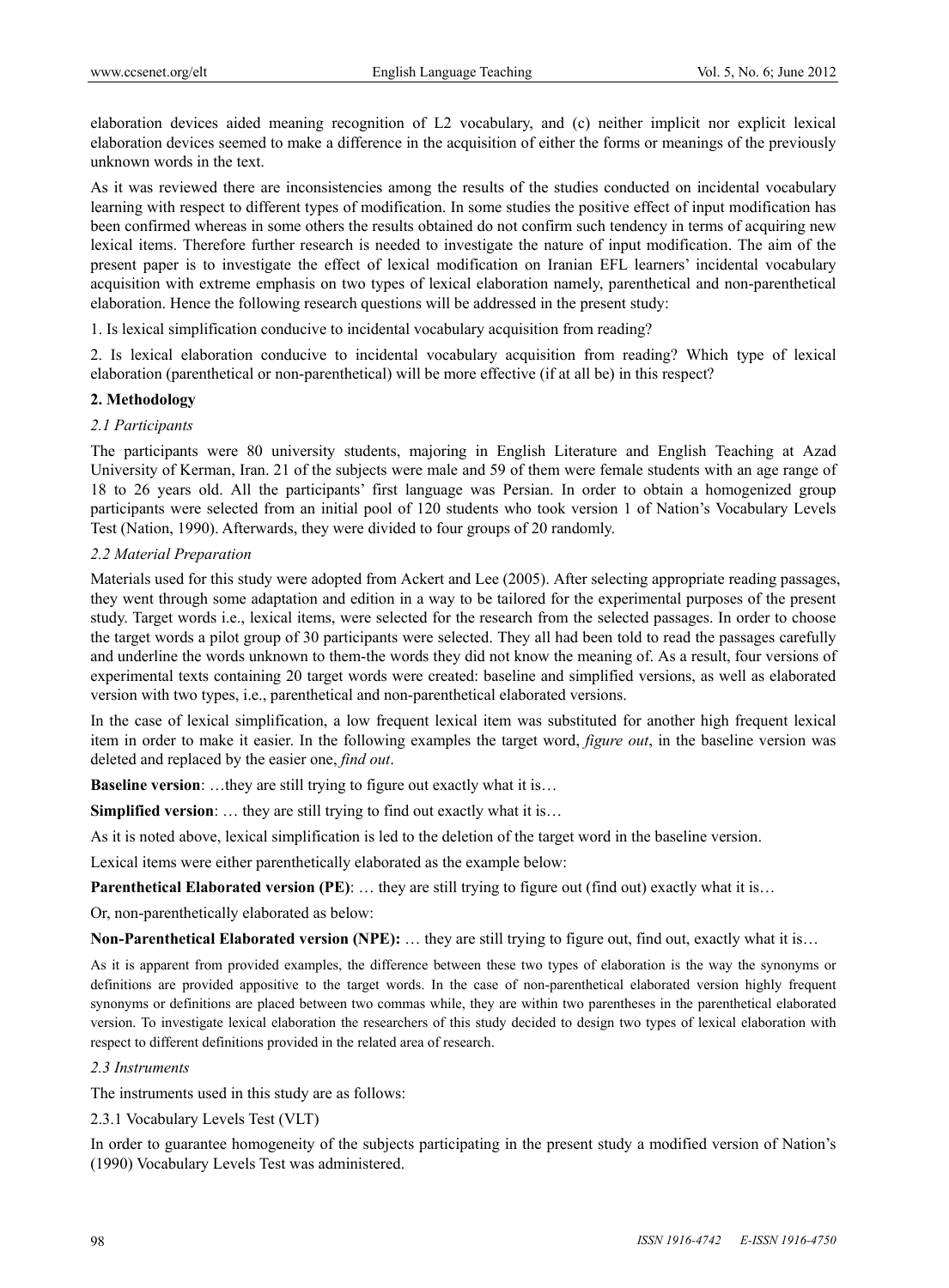elaboration devices aided meaning recognition of L2 vocabulary, and (c) neither implicit nor explicit lexical elaboration devices seemed to make a difference in the acquisition of either the forms or meanings of the previously unknown words in the text.

As it was reviewed there are inconsistencies among the results of the studies conducted on incidental vocabulary learning with respect to different types of modification. In some studies the positive effect of input modification has been confirmed whereas in some others the results obtained do not confirm such tendency in terms of acquiring new lexical items. Therefore further research is needed to investigate the nature of input modification. The aim of the present paper is to investigate the effect of lexical modification on Iranian EFL learners' incidental vocabulary acquisition with extreme emphasis on two types of lexical elaboration namely, parenthetical and non-parenthetical elaboration. Hence the following research questions will be addressed in the present study:

1. Is lexical simplification conducive to incidental vocabulary acquisition from reading?

2. Is lexical elaboration conducive to incidental vocabulary acquisition from reading? Which type of lexical elaboration (parenthetical or non-parenthetical) will be more effective (if at all be) in this respect?

# **2. Methodology**

#### *2.1 Participants*

The participants were 80 university students, majoring in English Literature and English Teaching at Azad University of Kerman, Iran. 21 of the subjects were male and 59 of them were female students with an age range of 18 to 26 years old. All the participants' first language was Persian. In order to obtain a homogenized group participants were selected from an initial pool of 120 students who took version 1 of Nation's Vocabulary Levels Test (Nation, 1990). Afterwards, they were divided to four groups of 20 randomly.

#### *2.2 Material Preparation*

Materials used for this study were adopted from Ackert and Lee (2005). After selecting appropriate reading passages, they went through some adaptation and edition in a way to be tailored for the experimental purposes of the present study. Target words i.e., lexical items, were selected for the research from the selected passages. In order to choose the target words a pilot group of 30 participants were selected. They all had been told to read the passages carefully and underline the words unknown to them-the words they did not know the meaning of. As a result, four versions of experimental texts containing 20 target words were created: baseline and simplified versions, as well as elaborated version with two types, i.e., parenthetical and non-parenthetical elaborated versions.

In the case of lexical simplification, a low frequent lexical item was substituted for another high frequent lexical item in order to make it easier. In the following examples the target word, *figure out*, in the baseline version was deleted and replaced by the easier one, *find out*.

**Baseline version:** ...they are still trying to figure out exactly what it is...

**Simplified version**: … they are still trying to find out exactly what it is…

As it is noted above, lexical simplification is led to the deletion of the target word in the baseline version.

Lexical items were either parenthetically elaborated as the example below:

**Parenthetical Elaborated version (PE):** ... they are still trying to figure out (find out) exactly what it is...

Or, non-parenthetically elaborated as below:

**Non-Parenthetical Elaborated version (NPE):** … they are still trying to figure out, find out, exactly what it is…

As it is apparent from provided examples, the difference between these two types of elaboration is the way the synonyms or definitions are provided appositive to the target words. In the case of non-parenthetical elaborated version highly frequent synonyms or definitions are placed between two commas while, they are within two parentheses in the parenthetical elaborated version. To investigate lexical elaboration the researchers of this study decided to design two types of lexical elaboration with respect to different definitions provided in the related area of research.

# *2.3 Instruments*

The instruments used in this study are as follows:

#### 2.3.1 Vocabulary Levels Test (VLT)

In order to guarantee homogeneity of the subjects participating in the present study a modified version of Nation's (1990) Vocabulary Levels Test was administered.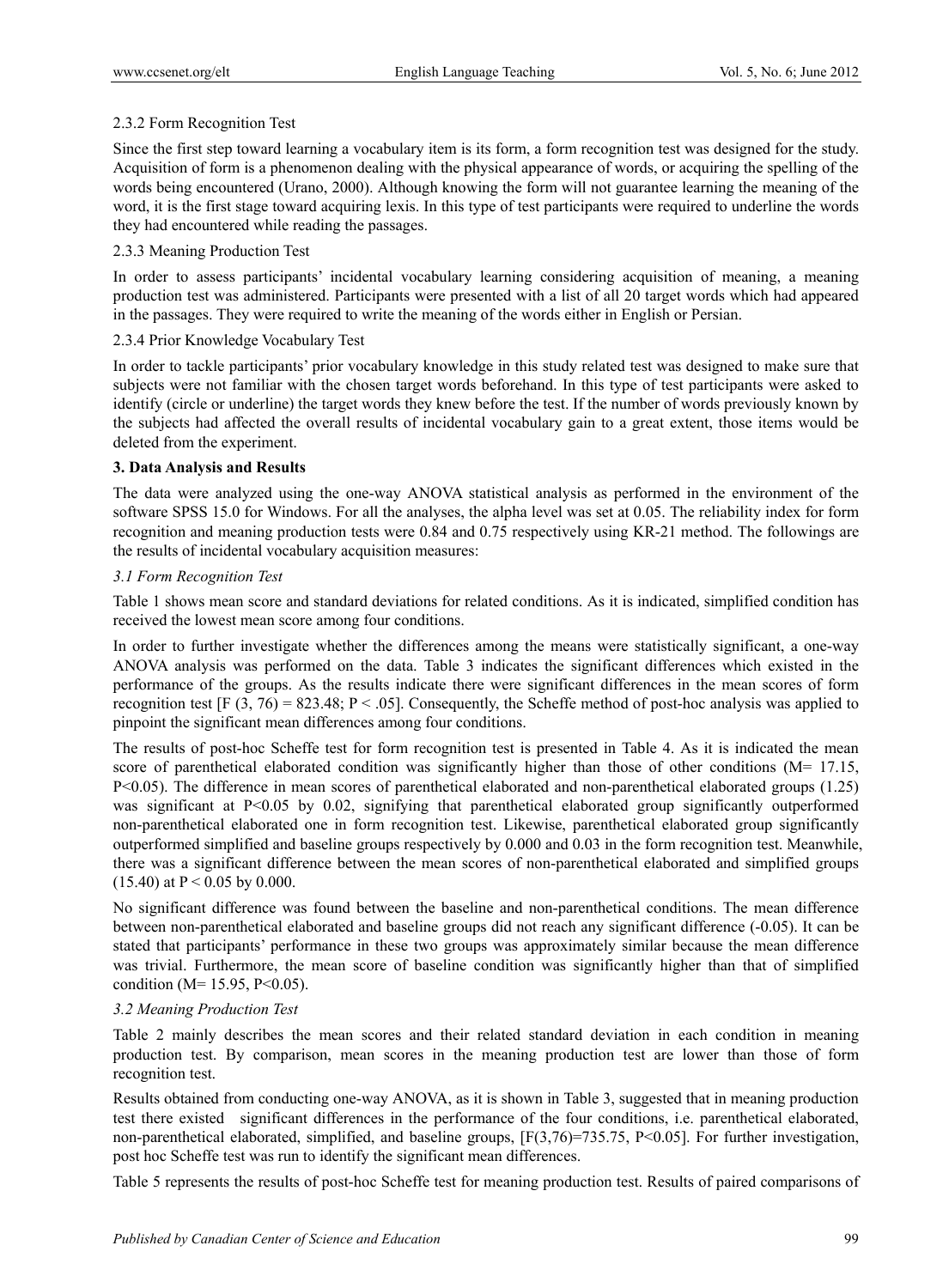# 2.3.2 Form Recognition Test

Since the first step toward learning a vocabulary item is its form, a form recognition test was designed for the study. Acquisition of form is a phenomenon dealing with the physical appearance of words, or acquiring the spelling of the words being encountered (Urano, 2000). Although knowing the form will not guarantee learning the meaning of the word, it is the first stage toward acquiring lexis. In this type of test participants were required to underline the words they had encountered while reading the passages.

# 2.3.3 Meaning Production Test

In order to assess participants' incidental vocabulary learning considering acquisition of meaning, a meaning production test was administered. Participants were presented with a list of all 20 target words which had appeared in the passages. They were required to write the meaning of the words either in English or Persian.

# 2.3.4 Prior Knowledge Vocabulary Test

In order to tackle participants' prior vocabulary knowledge in this study related test was designed to make sure that subjects were not familiar with the chosen target words beforehand. In this type of test participants were asked to identify (circle or underline) the target words they knew before the test. If the number of words previously known by the subjects had affected the overall results of incidental vocabulary gain to a great extent, those items would be deleted from the experiment.

# **3. Data Analysis and Results**

The data were analyzed using the one-way ANOVA statistical analysis as performed in the environment of the software SPSS 15.0 for Windows. For all the analyses, the alpha level was set at 0.05. The reliability index for form recognition and meaning production tests were 0.84 and 0.75 respectively using KR-21 method. The followings are the results of incidental vocabulary acquisition measures:

# *3.1 Form Recognition Test*

Table 1 shows mean score and standard deviations for related conditions. As it is indicated, simplified condition has received the lowest mean score among four conditions.

In order to further investigate whether the differences among the means were statistically significant, a one-way ANOVA analysis was performed on the data. Table 3 indicates the significant differences which existed in the performance of the groups. As the results indicate there were significant differences in the mean scores of form recognition test [F (3, 76) = 823.48; P < .05]. Consequently, the Scheffe method of post-hoc analysis was applied to pinpoint the significant mean differences among four conditions.

The results of post-hoc Scheffe test for form recognition test is presented in Table 4. As it is indicated the mean score of parenthetical elaborated condition was significantly higher than those of other conditions  $(M= 17.15,$ P<0.05). The difference in mean scores of parenthetical elaborated and non-parenthetical elaborated groups (1.25) was significant at P<0.05 by 0.02, signifying that parenthetical elaborated group significantly outperformed non-parenthetical elaborated one in form recognition test. Likewise, parenthetical elaborated group significantly outperformed simplified and baseline groups respectively by 0.000 and 0.03 in the form recognition test. Meanwhile, there was a significant difference between the mean scores of non-parenthetical elaborated and simplified groups  $(15.40)$  at P < 0.05 by 0.000.

No significant difference was found between the baseline and non-parenthetical conditions. The mean difference between non-parenthetical elaborated and baseline groups did not reach any significant difference (-0.05). It can be stated that participants' performance in these two groups was approximately similar because the mean difference was trivial. Furthermore, the mean score of baseline condition was significantly higher than that of simplified condition ( $M= 15.95$ ,  $P<0.05$ ).

# *3.2 Meaning Production Test*

Table 2 mainly describes the mean scores and their related standard deviation in each condition in meaning production test. By comparison, mean scores in the meaning production test are lower than those of form recognition test.

Results obtained from conducting one-way ANOVA, as it is shown in Table 3, suggested that in meaning production test there existed significant differences in the performance of the four conditions, i.e. parenthetical elaborated, non-parenthetical elaborated, simplified, and baseline groups, [F(3,76)=735.75, P<0.05]. For further investigation, post hoc Scheffe test was run to identify the significant mean differences.

Table 5 represents the results of post-hoc Scheffe test for meaning production test. Results of paired comparisons of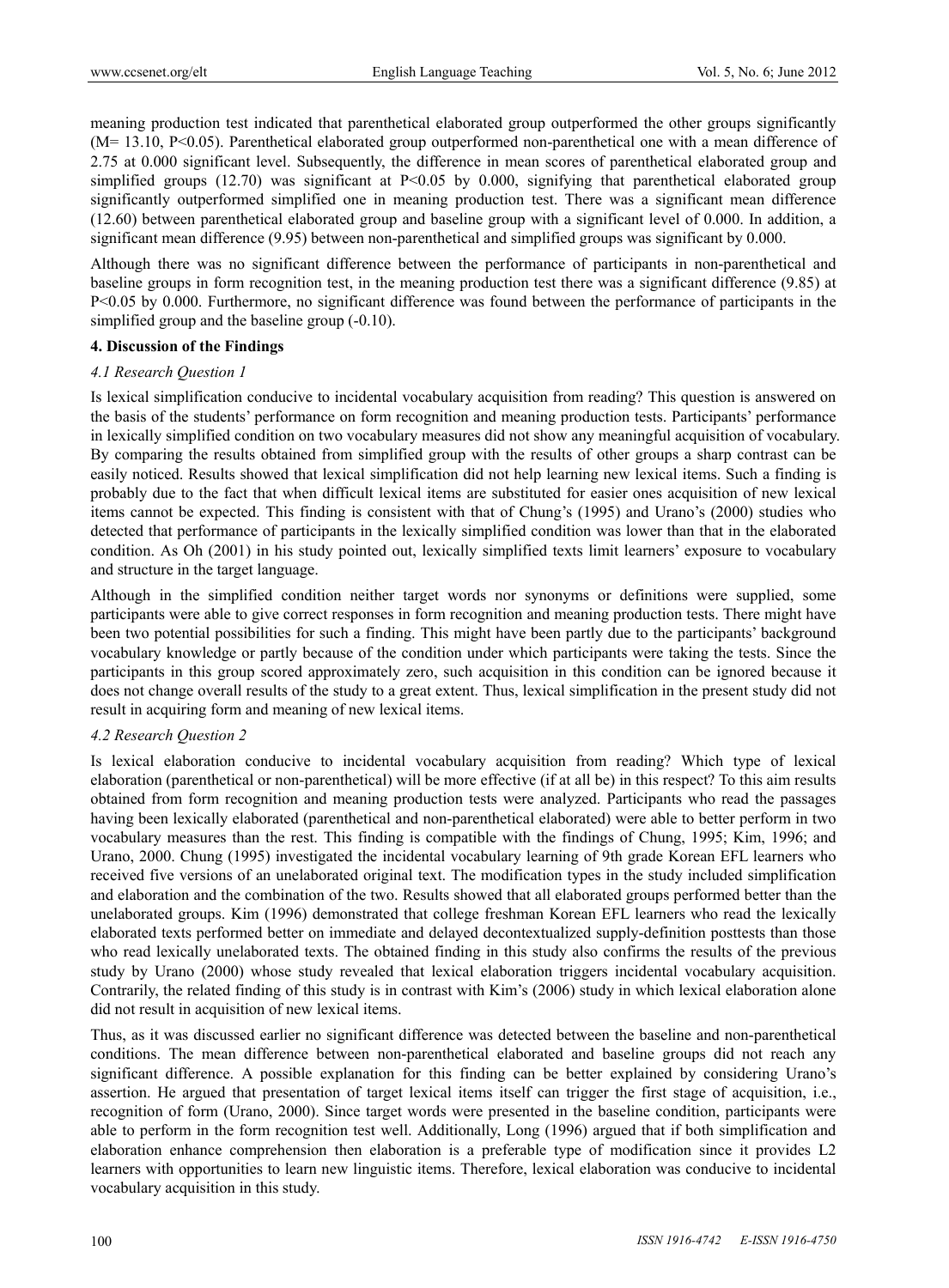meaning production test indicated that parenthetical elaborated group outperformed the other groups significantly (M= 13.10, P<0.05). Parenthetical elaborated group outperformed non-parenthetical one with a mean difference of 2.75 at 0.000 significant level. Subsequently, the difference in mean scores of parenthetical elaborated group and simplified groups (12.70) was significant at P<0.05 by 0.000, signifying that parenthetical elaborated group significantly outperformed simplified one in meaning production test. There was a significant mean difference (12.60) between parenthetical elaborated group and baseline group with a significant level of 0.000. In addition, a significant mean difference (9.95) between non-parenthetical and simplified groups was significant by 0.000.

Although there was no significant difference between the performance of participants in non-parenthetical and baseline groups in form recognition test, in the meaning production test there was a significant difference (9.85) at P<0.05 by 0.000. Furthermore, no significant difference was found between the performance of participants in the simplified group and the baseline group (-0.10).

# **4. Discussion of the Findings**

# *4.1 Research Question 1*

Is lexical simplification conducive to incidental vocabulary acquisition from reading? This question is answered on the basis of the students' performance on form recognition and meaning production tests. Participants' performance in lexically simplified condition on two vocabulary measures did not show any meaningful acquisition of vocabulary. By comparing the results obtained from simplified group with the results of other groups a sharp contrast can be easily noticed. Results showed that lexical simplification did not help learning new lexical items. Such a finding is probably due to the fact that when difficult lexical items are substituted for easier ones acquisition of new lexical items cannot be expected. This finding is consistent with that of Chung's (1995) and Urano's (2000) studies who detected that performance of participants in the lexically simplified condition was lower than that in the elaborated condition. As Oh (2001) in his study pointed out, lexically simplified texts limit learners' exposure to vocabulary and structure in the target language.

Although in the simplified condition neither target words nor synonyms or definitions were supplied, some participants were able to give correct responses in form recognition and meaning production tests. There might have been two potential possibilities for such a finding. This might have been partly due to the participants' background vocabulary knowledge or partly because of the condition under which participants were taking the tests. Since the participants in this group scored approximately zero, such acquisition in this condition can be ignored because it does not change overall results of the study to a great extent. Thus, lexical simplification in the present study did not result in acquiring form and meaning of new lexical items.

# *4.2 Research Question 2*

Is lexical elaboration conducive to incidental vocabulary acquisition from reading? Which type of lexical elaboration (parenthetical or non-parenthetical) will be more effective (if at all be) in this respect? To this aim results obtained from form recognition and meaning production tests were analyzed. Participants who read the passages having been lexically elaborated (parenthetical and non-parenthetical elaborated) were able to better perform in two vocabulary measures than the rest. This finding is compatible with the findings of Chung, 1995; Kim, 1996; and Urano, 2000. Chung (1995) investigated the incidental vocabulary learning of 9th grade Korean EFL learners who received five versions of an unelaborated original text. The modification types in the study included simplification and elaboration and the combination of the two. Results showed that all elaborated groups performed better than the unelaborated groups. Kim (1996) demonstrated that college freshman Korean EFL learners who read the lexically elaborated texts performed better on immediate and delayed decontextualized supply-definition posttests than those who read lexically unelaborated texts. The obtained finding in this study also confirms the results of the previous study by Urano (2000) whose study revealed that lexical elaboration triggers incidental vocabulary acquisition. Contrarily, the related finding of this study is in contrast with Kim's (2006) study in which lexical elaboration alone did not result in acquisition of new lexical items.

Thus, as it was discussed earlier no significant difference was detected between the baseline and non-parenthetical conditions. The mean difference between non-parenthetical elaborated and baseline groups did not reach any significant difference. A possible explanation for this finding can be better explained by considering Urano's assertion. He argued that presentation of target lexical items itself can trigger the first stage of acquisition, i.e., recognition of form (Urano, 2000). Since target words were presented in the baseline condition, participants were able to perform in the form recognition test well. Additionally, Long (1996) argued that if both simplification and elaboration enhance comprehension then elaboration is a preferable type of modification since it provides L2 learners with opportunities to learn new linguistic items. Therefore, lexical elaboration was conducive to incidental vocabulary acquisition in this study.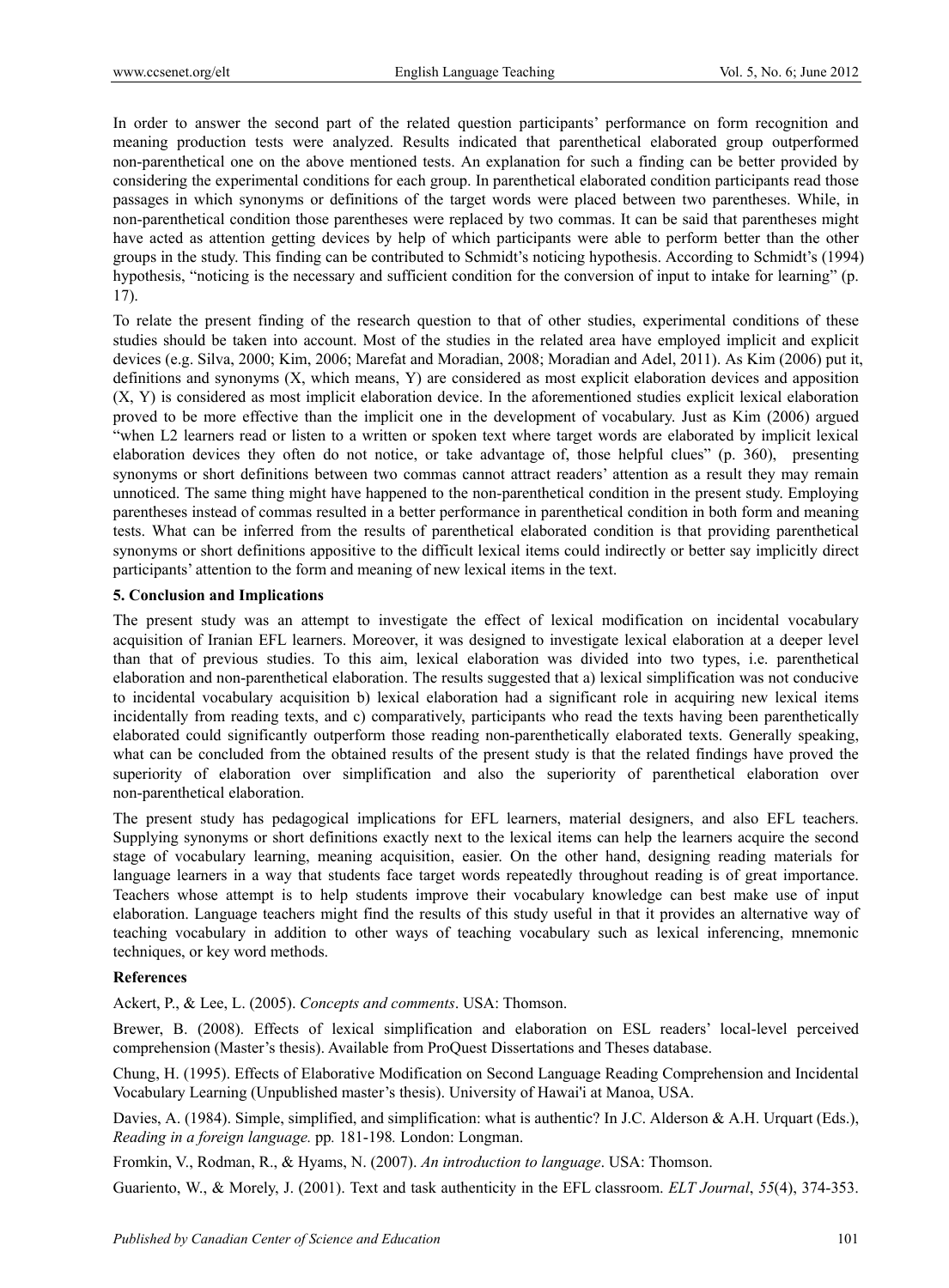In order to answer the second part of the related question participants' performance on form recognition and meaning production tests were analyzed. Results indicated that parenthetical elaborated group outperformed non-parenthetical one on the above mentioned tests. An explanation for such a finding can be better provided by considering the experimental conditions for each group. In parenthetical elaborated condition participants read those passages in which synonyms or definitions of the target words were placed between two parentheses. While, in non-parenthetical condition those parentheses were replaced by two commas. It can be said that parentheses might have acted as attention getting devices by help of which participants were able to perform better than the other groups in the study. This finding can be contributed to Schmidt's noticing hypothesis. According to Schmidt's (1994) hypothesis, "noticing is the necessary and sufficient condition for the conversion of input to intake for learning" (p. 17).

To relate the present finding of the research question to that of other studies, experimental conditions of these studies should be taken into account. Most of the studies in the related area have employed implicit and explicit devices (e.g. Silva, 2000; Kim, 2006; Marefat and Moradian, 2008; Moradian and Adel, 2011). As Kim (2006) put it, definitions and synonyms (X, which means, Y) are considered as most explicit elaboration devices and apposition (X, Y) is considered as most implicit elaboration device. In the aforementioned studies explicit lexical elaboration proved to be more effective than the implicit one in the development of vocabulary. Just as Kim (2006) argued "when L2 learners read or listen to a written or spoken text where target words are elaborated by implicit lexical elaboration devices they often do not notice, or take advantage of, those helpful clues" (p. 360), presenting synonyms or short definitions between two commas cannot attract readers' attention as a result they may remain unnoticed. The same thing might have happened to the non-parenthetical condition in the present study. Employing parentheses instead of commas resulted in a better performance in parenthetical condition in both form and meaning tests. What can be inferred from the results of parenthetical elaborated condition is that providing parenthetical synonyms or short definitions appositive to the difficult lexical items could indirectly or better say implicitly direct participants' attention to the form and meaning of new lexical items in the text.

# **5. Conclusion and Implications**

The present study was an attempt to investigate the effect of lexical modification on incidental vocabulary acquisition of Iranian EFL learners. Moreover, it was designed to investigate lexical elaboration at a deeper level than that of previous studies. To this aim, lexical elaboration was divided into two types, i.e. parenthetical elaboration and non-parenthetical elaboration. The results suggested that a) lexical simplification was not conducive to incidental vocabulary acquisition b) lexical elaboration had a significant role in acquiring new lexical items incidentally from reading texts, and c) comparatively, participants who read the texts having been parenthetically elaborated could significantly outperform those reading non-parenthetically elaborated texts. Generally speaking, what can be concluded from the obtained results of the present study is that the related findings have proved the superiority of elaboration over simplification and also the superiority of parenthetical elaboration over non-parenthetical elaboration.

The present study has pedagogical implications for EFL learners, material designers, and also EFL teachers. Supplying synonyms or short definitions exactly next to the lexical items can help the learners acquire the second stage of vocabulary learning, meaning acquisition, easier. On the other hand, designing reading materials for language learners in a way that students face target words repeatedly throughout reading is of great importance. Teachers whose attempt is to help students improve their vocabulary knowledge can best make use of input elaboration. Language teachers might find the results of this study useful in that it provides an alternative way of teaching vocabulary in addition to other ways of teaching vocabulary such as lexical inferencing, mnemonic techniques, or key word methods.

# **References**

Ackert, P., & Lee, L. (2005). *Concepts and comments*. USA: Thomson.

Brewer, B. (2008). Effects of lexical simplification and elaboration on ESL readers' local-level perceived comprehension (Master's thesis). Available from ProQuest Dissertations and Theses database.

Chung, H. (1995). Effects of Elaborative Modification on Second Language Reading Comprehension and Incidental Vocabulary Learning (Unpublished master's thesis). University of Hawai'i at Manoa, USA.

Davies, A. (1984). Simple, simplified, and simplification: what is authentic? In J.C. Alderson & A.H. Urquart (Eds.), *Reading in a foreign language.* pp*.* 181-198*.* London: Longman.

Fromkin, V., Rodman, R., & Hyams, N. (2007). *An introduction to language*. USA: Thomson.

Guariento, W., & Morely, J. (2001). Text and task authenticity in the EFL classroom. *ELT Journal*, *55*(4), 374-353.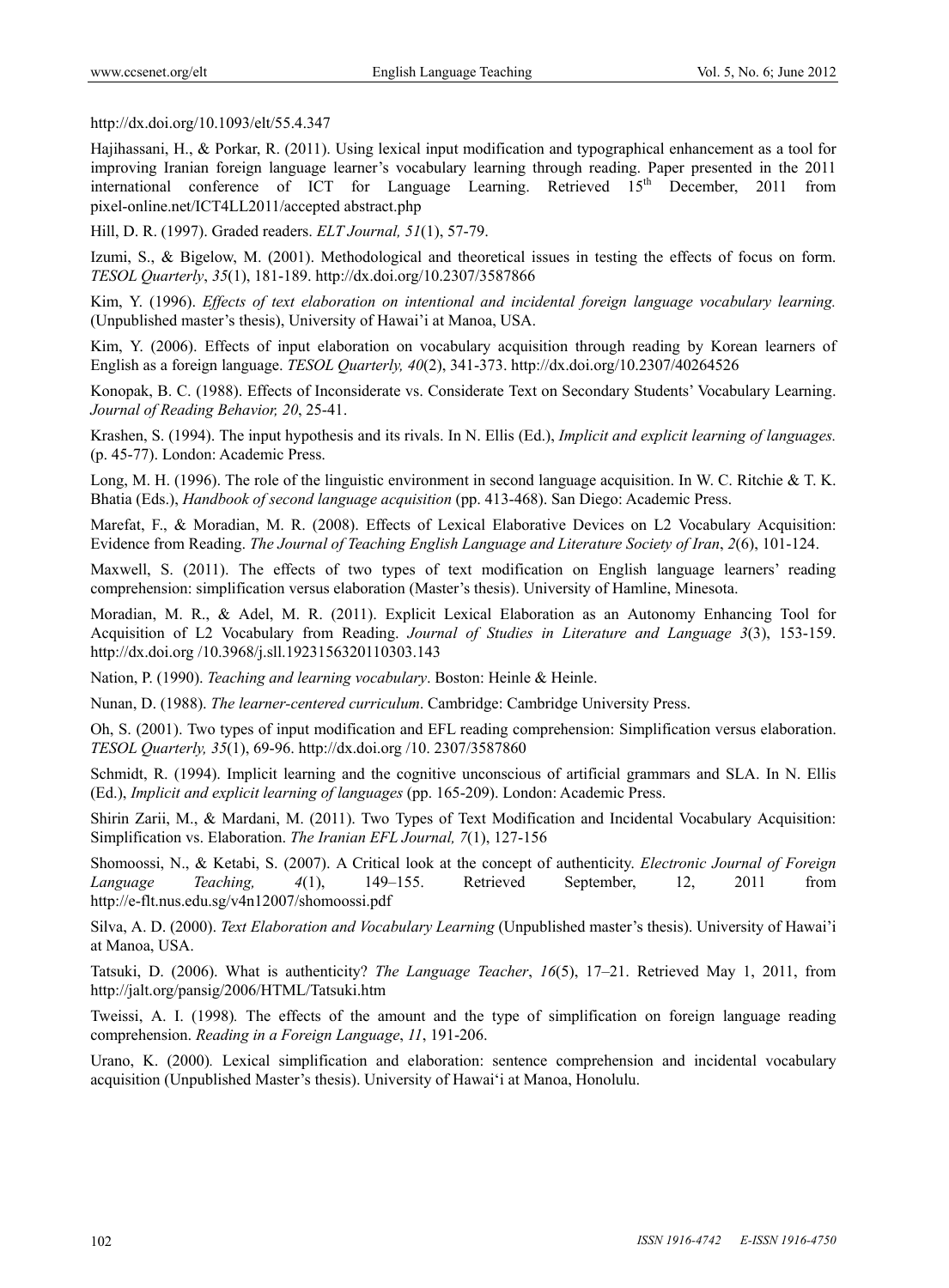http://dx.doi.org/10.1093/elt/55.4.347

Hajihassani, H., & Porkar, R. (2011). Using lexical input modification and typographical enhancement as a tool for improving Iranian foreign language learner's vocabulary learning through reading. Paper presented in the 2011 international conference of ICT for Language Learning. Retrieved  $15<sup>th</sup>$  December, 2011 from pixel-online.net/ICT4LL2011/accepted abstract.php

Hill, D. R. (1997). Graded readers. *ELT Journal, 51*(1), 57-79.

Izumi, S., & Bigelow, M. (2001). Methodological and theoretical issues in testing the effects of focus on form. *TESOL Quarterly*, *35*(1), 181-189. http://dx.doi.org/10.2307/3587866

Kim, Y. (1996). *Effects of text elaboration on intentional and incidental foreign language vocabulary learning.*  (Unpublished master's thesis), University of Hawai'i at Manoa, USA.

Kim, Y. (2006). Effects of input elaboration on vocabulary acquisition through reading by Korean learners of English as a foreign language. *TESOL Quarterly, 40*(2), 341-373. http://dx.doi.org/10.2307/40264526

Konopak, B. C. (1988). Effects of Inconsiderate vs. Considerate Text on Secondary Students' Vocabulary Learning. *Journal of Reading Behavior, 20*, 25-41.

Krashen, S. (1994). The input hypothesis and its rivals. In N. Ellis (Ed.), *Implicit and explicit learning of languages.* (p. 45-77). London: Academic Press.

Long, M. H. (1996). The role of the linguistic environment in second language acquisition. In W. C. Ritchie & T. K. Bhatia (Eds.), *Handbook of second language acquisition* (pp. 413-468). San Diego: Academic Press.

Marefat, F., & Moradian, M. R. (2008). Effects of Lexical Elaborative Devices on L2 Vocabulary Acquisition: Evidence from Reading. *The Journal of Teaching English Language and Literature Society of Iran*, *2*(6), 101-124.

Maxwell, S. (2011). The effects of two types of text modification on English language learners' reading comprehension: simplification versus elaboration (Master's thesis). University of Hamline, Minesota.

Moradian, M. R., & Adel, M. R. (2011). Explicit Lexical Elaboration as an Autonomy Enhancing Tool for Acquisition of L2 Vocabulary from Reading. *Journal of Studies in Literature and Language 3*(3), 153-159. http://dx.doi.org /10.3968/j.sll.1923156320110303.143

Nation, P. (1990). *Teaching and learning vocabulary*. Boston: Heinle & Heinle.

Nunan, D. (1988). *The learner-centered curriculum*. Cambridge: Cambridge University Press.

Oh, S. (2001). Two types of input modification and EFL reading comprehension: Simplification versus elaboration. *TESOL Quarterly, 35*(1), 69-96. http://dx.doi.org /10. 2307/3587860

Schmidt, R. (1994). Implicit learning and the cognitive unconscious of artificial grammars and SLA. In N. Ellis (Ed.), *Implicit and explicit learning of languages* (pp. 165-209). London: Academic Press.

Shirin Zarii, M., & Mardani, M. (2011). Two Types of Text Modification and Incidental Vocabulary Acquisition: Simplification vs. Elaboration. *The Iranian EFL Journal, 7*(1), 127-156

Shomoossi, N., & Ketabi, S. (2007). A Critical look at the concept of authenticity. *Electronic Journal of Foreign Language Teaching, 4*(1), 149–155. Retrieved September, 12, 2011 from http://e-flt.nus.edu.sg/v4n12007/shomoossi.pdf

Silva, A. D. (2000). *Text Elaboration and Vocabulary Learning* (Unpublished master's thesis). University of Hawai'i at Manoa, USA.

Tatsuki, D. (2006). What is authenticity? *The Language Teacher*, *16*(5), 17–21. Retrieved May 1, 2011, from http://jalt.org/pansig/2006/HTML/Tatsuki.htm

Tweissi, A. I. (1998)*.* The effects of the amount and the type of simplification on foreign language reading comprehension. *Reading in a Foreign Language*, *11*, 191-206.

Urano, K. (2000)*.* Lexical simplification and elaboration: sentence comprehension and incidental vocabulary acquisition (Unpublished Master's thesis). University of Hawai'i at Manoa, Honolulu.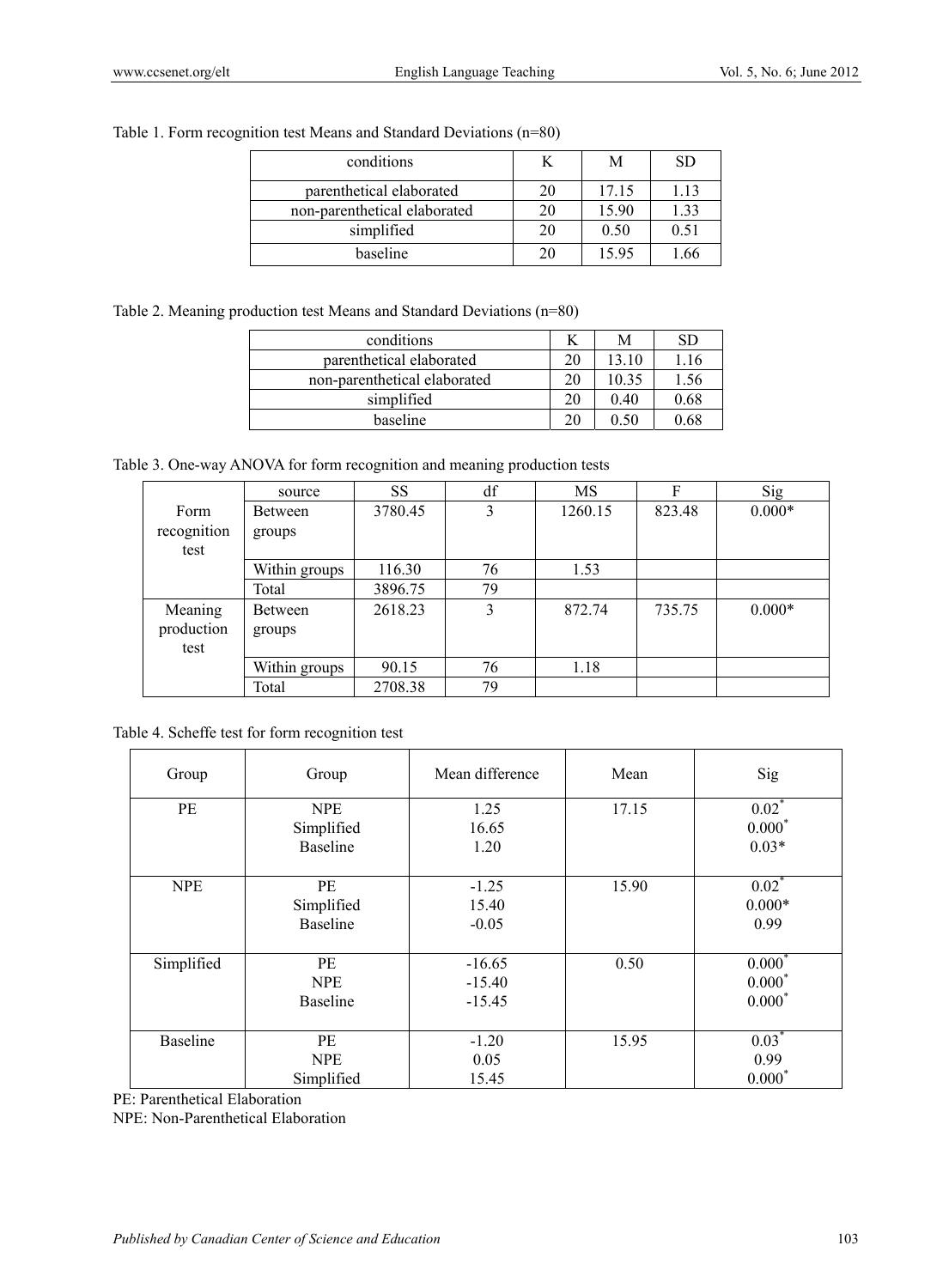# Table 1. Form recognition test Means and Standard Deviations (n=80)

| conditions                   |    | M     | SD.  |
|------------------------------|----|-------|------|
| parenthetical elaborated     |    | 17.15 | 1.13 |
| non-parenthetical elaborated |    | 15.90 | 1.33 |
| simplified                   | 20 | 0.50  | 0.51 |
| baseline                     |    | 15.95 | .66  |

# Table 2. Meaning production test Means and Standard Deviations (n=80)

| conditions                   |    | M     | SD   |
|------------------------------|----|-------|------|
| parenthetical elaborated     | 20 | 13.10 | 1.16 |
| non-parenthetical elaborated | 20 | 10.35 | 1.56 |
| simplified                   | 20 | 0.40  | 0.68 |
| baseline                     | 20 | J 50  | 0.68 |

Table 3. One-way ANOVA for form recognition and meaning production tests

|                               | source            | <b>SS</b> | df | MS      | F      | Sig      |
|-------------------------------|-------------------|-----------|----|---------|--------|----------|
| Form<br>recognition<br>test   | Between<br>groups | 3780.45   | 3  | 1260.15 | 823.48 | $0.000*$ |
|                               | Within groups     | 116.30    | 76 | 1.53    |        |          |
|                               | Total             | 3896.75   | 79 |         |        |          |
| Meaning<br>production<br>test | Between<br>groups | 2618.23   | 3  | 872.74  | 735.75 | $0.000*$ |
|                               | Within groups     | 90.15     | 76 | 1.18    |        |          |
|                               | Total             | 2708.38   | 79 |         |        |          |

Table 4. Scheffe test for form recognition test

| Group           | Group                         | Mean difference | Mean  | Sig                 |
|-----------------|-------------------------------|-----------------|-------|---------------------|
| PE              | <b>NPE</b>                    | 1.25            | 17.15 | $0.02*$<br>$0.000*$ |
|                 | Simplified<br><b>Baseline</b> | 16.65<br>1.20   |       | $0.03*$             |
|                 |                               |                 |       |                     |
| <b>NPE</b>      | PE                            | $-1.25$         | 15.90 | $0.02$ <sup>*</sup> |
|                 | Simplified                    | 15.40           |       | $0.000*$            |
|                 | <b>Baseline</b>               | $-0.05$         |       | 0.99                |
| Simplified      | <b>PE</b>                     | $-16.65$        | 0.50  | $0.000*$            |
|                 | <b>NPE</b>                    | $-15.40$        |       | $0.000*$            |
|                 | <b>Baseline</b>               | $-15.45$        |       | $0.000*$            |
|                 |                               |                 |       |                     |
| <b>Baseline</b> | <b>PE</b>                     | $-1.20$         | 15.95 | $0.03*$             |
|                 | <b>NPE</b>                    | 0.05            |       | 0.99                |
|                 | Simplified                    | 15.45           |       | $0.000*$            |

PE: Parenthetical Elaboration

NPE: Non-Parenthetical Elaboration